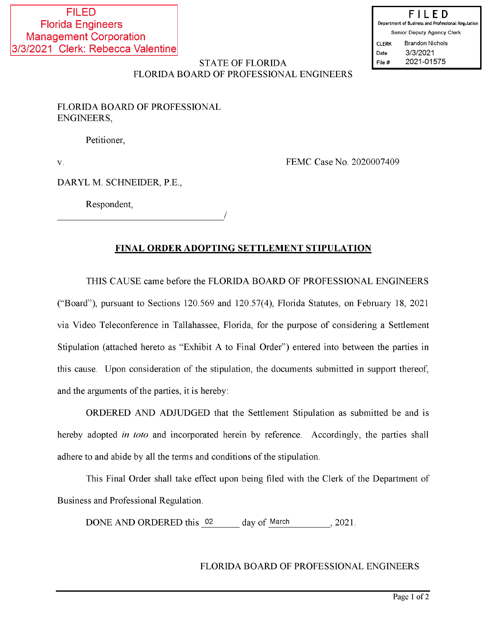# **STATE OF FLORIDA** FLORIDA BOARD OF PROFESSIONAL ENGINEERS

FLORIDA BOARD OF PROFESSIONAL **ENGINEERS,** 

Petitioner,

 $\bar{\mathbf{V}}$ .

FEMC Case No. 2020007409

DARYL M. SCHNEIDER, P.E.,

Respondent,

# FINAL ORDER ADOPTING SETTLEMENT STIPULATION

THIS CAUSE came before the FLORIDA BOARD OF PROFESSIONAL ENGINEERS ("Board"), pursuant to Sections 120.569 and 120.57(4), Florida Statutes, on February 18, 2021 via Video Teleconference in Tallahassee, Florida, for the purpose of considering a Settlement Stipulation (attached hereto as "Exhibit A to Final Order") entered into between the parties in this cause. Upon consideration of the stipulation, the documents submitted in support thereof, and the arguments of the parties, it is hereby:

ORDERED AND ADJUDGED that the Settlement Stipulation as submitted be and is hereby adopted *in toto* and incorporated herein by reference. Accordingly, the parties shall adhere to and abide by all the terms and conditions of the stipulation.

This Final Order shall take effect upon being filed with the Clerk of the Department of Business and Professional Regulation.

DONE AND ORDERED this 02 day of March 2021.

# FLORIDA BOARD OF PROFESSIONAL ENGINEERS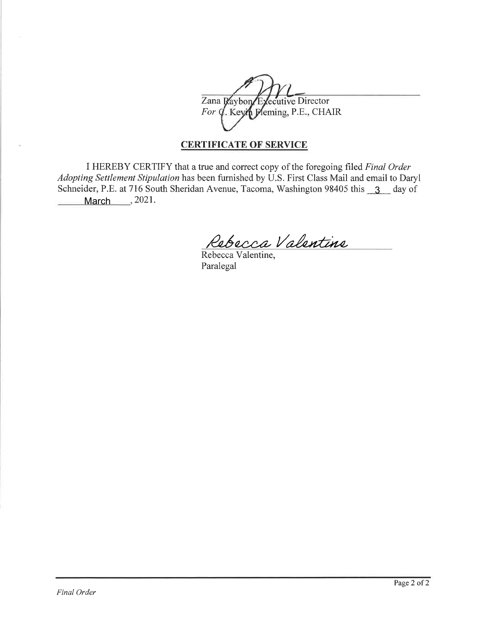Zana Raybon Executive Director For  $\oint$ . Keyn Pleming, P.E., CHAIR

# CERTIFICATE OF SERVICE

I HEREBY CERTIFY that a true and correct copy of the foregoing filed Final Order Adopting Settlement Stipulation has been furnished by U.S. First Class Mail and email to Daryl Schneider, P.E. at 716 South Sheridan Avenue, Tacoma, Washington 98405 this 3 day of March 3021.

Rebecca Valentine

Rebecca Valentine, Paralegal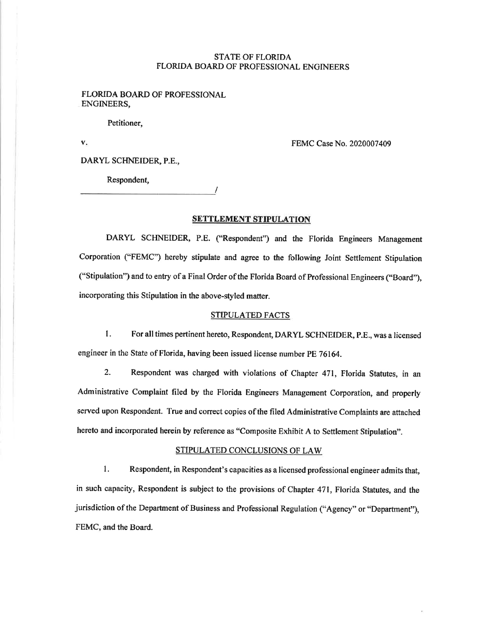# STATE OF FLORIDA FLORIDA BOARD OF PROFESSIONAL ENGINEERS

#### FLORIDA BOARD OF PROFESSIONAL ENGINEERS,

Petitioner,

v.

FEMC Case No. 2020007 409

DARYL SCHNEIDER, P.E.,

Respondent,

## SETTLEMENT STIPULATION

I

DARYL SCHNEIDER, P.E. ("Respondent") and the Florida Engineers Management Corporation (\*FEMC') hereby stipulate and agree to the following Joint Settlement Stipulation ("Stipulation") and to entry of a Final Order of the Florida Board of Professional Engineers ("Board"), incorporating this Stipulation in the above-styled matter.

#### STIPULATED FACTS

1. For all times pertinent hereto, Respondent, DARYL SCHNEIDER, P.E., was a licensed engineer in the State of Florida, having been issued license number PE 76164.

2. Respondent was charged with violations of Chapter 471, Florida Statutes, in an Administrative Complaint filed by the Florida Engineers Management Corporation, and properly served upon Respondent. True and correct copies of the filed Administrative Complaints are attached hereto and incorporated herein by reference as "Composite Exhibit A to Settlement Stipulation".

# STTPULATED CONCLUSIONS OF LAW

l. Respondent, in Respondent's capacities as a licensed professional engineer admits that, in such capacity, Respondent is subject to the provisions of Chapter 471, Florida Statutes, and the jurisdiction of the Department of Business and Professional Regulation ('Agency" or "Department"), FEMC, and the Board.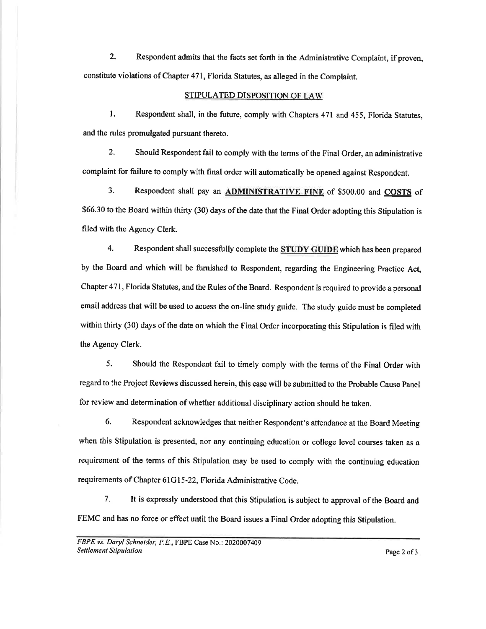2. Respondent admits that the facts set forth in the Administrative Complaint, if proven, constitute violations of Chapter 471, Florida Statutes, as alleged in the Complaint.

## STIPULATED DISPOSITION OF LAW

1. Respondent shall, in the future, comply with Chapters 471 and 455, Florida Statutes, and the rules promulgated pursuant thereto.

2. Should Respondent fail to comply with the terms of the Final Order, an administrative complaint for failure to comply with final order will automatically be opened against Respondent.

3. Respondent shall pay an ADMINISTRATIVE FINE of \$500.00 and COSTS of \$66.30 to the Board within thirty (30) days of the date that the Final Order adopting this Stipulation is filed with the Agency Clerk.

4. Respondent shall successfully complete the **STUDY GUIDE** which has been prepared by the Board and which will be furnished to Respondent, regarding the Engineering Practice Act, Chapter 471, Florida Statutes, and the Rules ofthe Board. Respondent is required to provide a personal email address that will be used to access the on-line study guide. The study guide must be completed within thirry (30) days of the date on which the Final Order incorporating this Stipulation is filed with the Agency Clerk.

5. Should the Respondent fail to timely comply with the terms of the Final Order with regard to the Project Reviews discussed herein, this case will be submitted to the Probable Cause Panel for review and determination of whether additional disciplinary action should be taken.

6. Respondent acknowledges that neither Respondent's attendance at the Board Meeting when this Stipulation is presented, nor any continuing education or college level courses taken as a requirement of the terms of this Stipulation may be used to comply with the continuing education requirements of Chapter 6lGl5-22, Florida Administrative Code.

7. It is expressly understood that this Stipulation is subject to approval of the Board and FEMC and has no force or effect until the Board issues a Final Order adopting this Stipulation.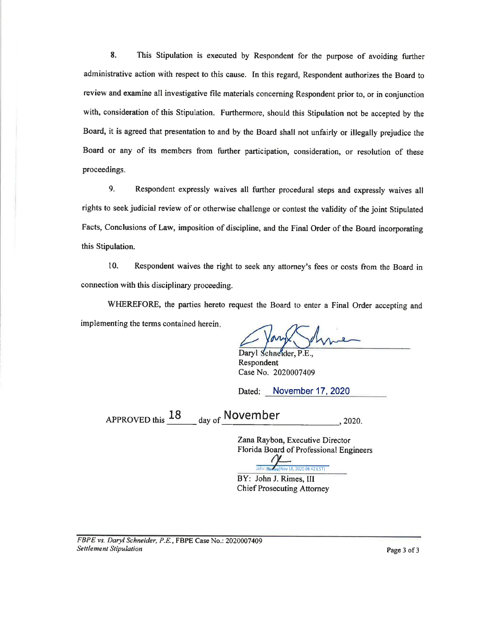8. This Stipulation is executed by Respondent for the purpose of avoiding further administrative action with respect to this cause. In this regard, Respondent authorizes the Board to review and examine all investigative file materials concerning Respondent prior to, or in conjunction with, consideration of this Stipulation. Furthermore, should this Stipulation not be accepted by the Board, it is agreed that presentation to and by the Board shall not unfairly or illegally prejudice the Board or any of its members from further participation, consideration, or resolution of these proceedings.

9. Respondent expressly waives all further procedural steps and expressly waives all rights to seekjudicial review of or otherwise challenge or contest the validity of the joint Stipulated Facts, Conclusions of Law, imposition of discipline, and the Final Order of the Board incorporating this Stipulation.

10. Respondent waives the right to seek any attorney's fees or costs from the Board in connection with this disciplinary proceeding.

WHEREFORE, the parties hereto request the Board to enter a Final Order accepting and implementing the terms contained herein

Daryl Schneider, P.E., Respondent Case No. 2020007409

Dated: November 17, 2020

 $APPROVED this$   $\frac{18}{\text{day of}}$  November , 2020.

Zana Raybon, Executive Director Florida Board of Professional Engineers

John Rin os (Nov 18, 2020 08:42 EST)

BY: John J. Rimes, III Chief Prosecuting Attomey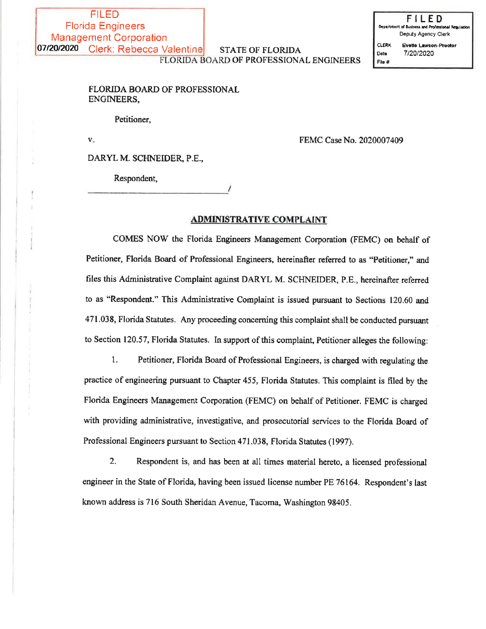#### **STATE OF FLORIDA** FLORIDA BOARD OF PROFESSIONAL ENGINEERS

FILED Deputy Agency Clerk **CLERK** Evette Lawson-Proctor 7/20/2020 Date File #

# FLORIDA BOARD OF PROFESSIONAL ENGINEERS,

Petitioner,

 $\mathbf{V}_{\alpha}$ 

FEMC Case No. 2020007409

DARYL M. SCHNEIDER, P.E.,

Respondent,

## **ADMINISTRATIVE COMPLAINT**

COMES NOW the Florida Engineers Management Corporation (FEMC) on behalf of Petitioner, Florida Board of Professional Engineers, hereinafter referred to as "Petitioner," and files this Administrative Complaint against DARYL M. SCHNEIDER, P.E., hereinafter referred to as "Respondent." This Administrative Complaint is issued pursuant to Sections 120.60 and 471.038, Florida Statutes. Any proceeding concerning this complaint shall be conducted pursuant to Section 120.57, Florida Statutes. In support of this complaint, Petitioner alleges the following:

1. Petitioner, Florida Board of Professional Engineers, is charged with regulating the practice of engineering pursuant to Chapter 455, Florida Statutes. This complaint is filed by the Florida Engineers Management Corporation (FEMC) on behalf of Petitioner. FEMC is charged with providing administrative, investigative, and prosecutorial services to the Florida Board of Professional Engineers pursuant to Section 471.038, Florida Statutes (1997).

 $2.$ Respondent is, and has been at all times material hereto, a licensed professional engineer in the State of Florida, having been issued license number PE 76164. Respondent's last known address is 716 South Sheridan Avenue, Tacoma, Washington 98405.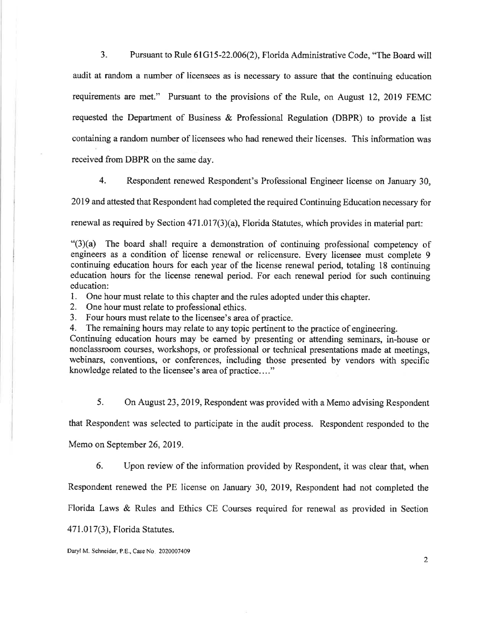3. Pursuant to Rule 61G15-22.006(2), Florida Administrative Code, "The Board will audit at random a number of licensees as is necessary to assure that the continuing education requirements are met." Pursuant to the provisions of the Rule, on August 12, 2019 FEMC requested the Department of Business & Professional Regulation (DBPR) to provide a list containing a random number of licensees who had renewed their licenses. This information was received from DBPR on the same day.

4. Respondent renewed Respondent's Professional Engineer license on January 30,

2019 and, attested that Respondent had completed the required Continuing Education necessary for

renewal as required by Section 471.017(3)(a), Florida Statutes, which provides in material part:

 $"(3)(a)$  The board shall require a demonstration of continuing professional competency of engineers as a condition of license renewal or relicensure. Every licensee must complete <sup>9</sup> continuing education hours for each year of the license renewal period, totaling 18 continuing education hours for the license renewal period. For each renewal period for such continuing education:

1. One hour must relate to this chapter and the rules adopted under this chapter.

2. One hour must relate to professional ethics.

3. Four hours must relate to the licensee's area of practice.

4. The remaining hours may relate to any topic pertinent to the practice of engineering.

Continuing education hours may be earned by presenting or attending seminars, in-house or nonclassroom courses, workshops, or professional or technical presentations made at meetings, webinars, conventions, or conferences, including those presented by vendors with specific knowledge related to the licensee's area of practice...."

5. On August 23,2019, Respondent was provided with a Memo advising Respondent

that Respondent was selected to participate in the audit process. Respondent responded to the

Memo on September 26, 2019.

6. Upon review of the information provided by Respondent, it was clear that, when

Respondent renewed the PE license on January 30, 2019, Respondent had not completed the

Florida Laws & Rules and Ethics CE Courses required for renewal as provided in Section

471.017(3), Florida Statutes.

Daryl M. Schneider, P.E., Case No. 2020007409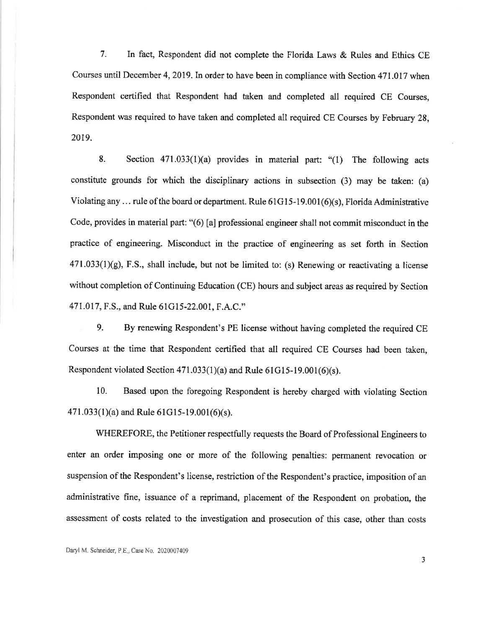7. In fact, Respondent did not complete the Florida Laws & Rules and Ethics CE Courses until December 4,2019.In order to have been in compliance with Section 471.017 when Respondent certified that Respondent had taken and completed all required CE Courses, Respondent was required to have taken and completed all required CE Courses by February 28, 2019.

8. Section  $471.033(1)(a)$  provides in material part: "(1) The following acts constitute grounds for which the disciplinary actions in subsection (3) may be taken: (a) Violating any ... rule of the board or department. Rule  $61G15-19.001(6)(s)$ , Florida Administrative Code, provides in material part: "(6) [a] professional engineer shall not commit misconduct in the practice of engineering. Misconduct in the practice of engineering as set forth in Section  $471.033(1)(g)$ , F.S., shall include, but not be limited to: (s) Renewing or reactivating a license without completion of Continuing Education (CE) hours and subject areas as required by Section 471.017, F.S., and Rule 61G15-22.001, F.A.C."

9. By renewing Respondent's PE license without having completed the required CE Courses at the time that Respondent certified that all required CE Courses had been taken, Respondent violated Section  $471.033(1)(a)$  and Rule  $61G15-19.001(6)(s)$ .

10. Based upon the foregoing Respondent is hereby charged with violating Section  $471.033(1)(a)$  and Rule 61G15-19.001(6)(s).

WHEREFORE, the Petitioner respectfully requests the Board of Professional Engineers to enter an order imposing one or mote of the following penalties: permanent revocation or suspension of the Respondent's license, restriction of the Respondent's practice, imposition of an administrative fine, issuance of a reprimand, placement of the Respondent on probation, the assessment of costs related to the investigation and prosecution of this case, other than costs